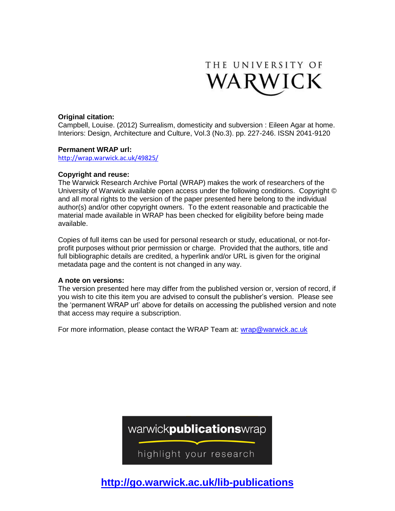

# **Original citation:**

Campbell, Louise. (2012) Surrealism, domesticity and subversion : Eileen Agar at home. Interiors: Design, Architecture and Culture, Vol.3 (No.3). pp. 227-246. ISSN 2041-9120

# **Permanent WRAP url:**

<http://wrap.warwick.ac.uk/49825/>

# **Copyright and reuse:**

The Warwick Research Archive Portal (WRAP) makes the work of researchers of the University of Warwick available open access under the following conditions. Copyright © and all moral rights to the version of the paper presented here belong to the individual author(s) and/or other copyright owners. To the extent reasonable and practicable the material made available in WRAP has been checked for eligibility before being made available.

Copies of full items can be used for personal research or study, educational, or not-forprofit purposes without prior permission or charge. Provided that the authors, title and full bibliographic details are credited, a hyperlink and/or URL is given for the original metadata page and the content is not changed in any way.

# **A note on versions:**

The version presented here may differ from the published version or, version of record, if you wish to cite this item you are advised to consult the publisher's version. Please see the 'permanent WRAP url' above for details on accessing the published version and note that access may require a subscription.

For more information, please contact the WRAP Team at: [wrap@warwick.ac.uk](mailto:wrap@warwick.ac.uk)



**http://go.warwick.ac.uk/lib-publications**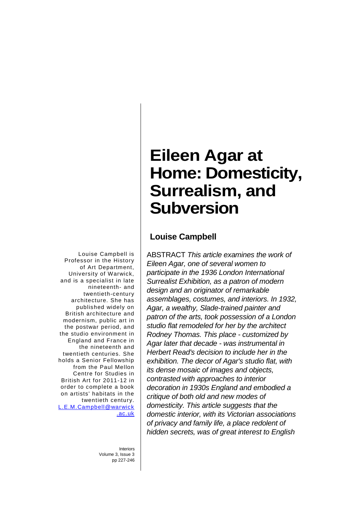# **Eileen Agar at Home: Domesticity, Surrealism, and Subversion**

# **Louise Campbell**

ABSTRACT *This article examines the work of Eileen Agar, one of several women to participate in the 1936 London International Surrealist Exhibition, as a patron of modern design and an originator of remarkable assemblages, costumes, and interiors. In 1932, Agar, a wealthy, Slade-trained painter and patron of the arts, took possession of a London studio flat remodeled for her by the architect Rodney Thomas. This place - customized by Agar later that decade - was instrumental in Herbert Read's decision to include her in the exhibition. The decor of Agar's studio flat, with its dense mosaic of images and objects, contrasted with approaches to interior decoration in 1930s England and embodied a critique of both old and new modes of domesticity. This article suggests that the domestic interior, with its Victorian associations of privacy and family life, a place redolent of hidden secrets, was of great interest to English*

Louise Campbell is Professor in the History of Art Department, University of Warwick, and is a specialist in late nineteenth- and twentieth-century architecture. She has published widely on British architecture and modernism, public art in the postwar period, and the studio environment in England and France in the nineteenth and twentieth centuries. She holds a Senior Fellowship from the Paul Mellon Centre for Studies in British Art for 2011-12 in order to complete a book on artists' habitats in the twentieth century. [L.E.M.Campbell@warwick](mailto:L.E.M.Campbell@warwick.ac.uk) [.ac.uk](mailto:L.E.M.Campbell@warwick.ac.uk)

> Interiors Volume 3, Issue 3 pp 227-246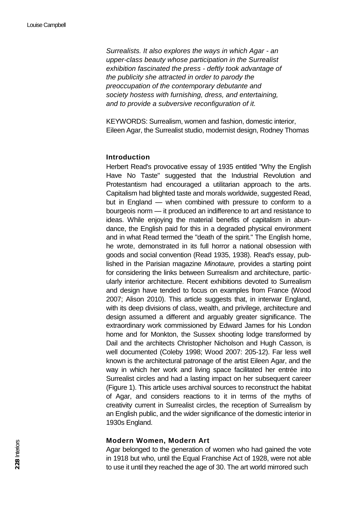*Surrealists. It also explores the ways in which Agar - an upper-class beauty whose participation in the Surrealist exhibition fascinated the press - deftly took advantage of the publicity she attracted in order to parody the preoccupation of the contemporary debutante and society hostess with furnishing, dress, and entertaining, and to provide a subversive reconfiguration of it.*

KEYWORDS: Surrealism, women and fashion, domestic interior, Eileen Agar, the Surrealist studio, modernist design, Rodney Thomas

## **Introduction**

Herbert Read's provocative essay of 1935 entitled "Why the English Have No Taste" suggested that the Industrial Revolution and Protestantism had encouraged a utilitarian approach to the arts. Capitalism had blighted taste and morals worldwide, suggested Read, but in England — when combined with pressure to conform to a bourgeois norm — it produced an indifference to art and resistance to ideas. While enjoying the material benefits of capitalism in abundance, the English paid for this in a degraded physical environment and in what Read termed the "death of the spirit." The English home, he wrote, demonstrated in its full horror a national obsession with goods and social convention (Read 1935, 1938). Read's essay, published in the Parisian magazine *Minotaure,* provides a starting point for considering the links between Surrealism and architecture, particularly interior architecture. Recent exhibitions devoted to Surrealism and design have tended to focus on examples from France (Wood 2007; Alison 2010). This article suggests that, in interwar England, with its deep divisions of class, wealth, and privilege, architecture and design assumed a different and arguably greater significance. The extraordinary work commissioned by Edward James for his London home and for Monkton, the Sussex shooting lodge transformed by Dail and the architects Christopher Nicholson and Hugh Casson, is well documented (Coleby 1998; Wood 2007: 205-12). Far less well known is the architectural patronage of the artist Eileen Agar, and the way in which her work and living space facilitated her entrée into Surrealist circles and had a lasting impact on her subsequent career (Figure 1). This article uses archival sources to reconstruct the habitat of Agar, and considers reactions to it in terms of the myths of creativity current in Surrealist circles, the reception of Surrealism by an English public, and the wider significance of the domestic interior in 1930s England.

## **Modern Women, Modern Art**

Agar belonged to the generation of women who had gained the vote in 1918 but who, until the Equal Franchise Act of 1928, were not able to use it until they reached the age of 30. The art world mirrored such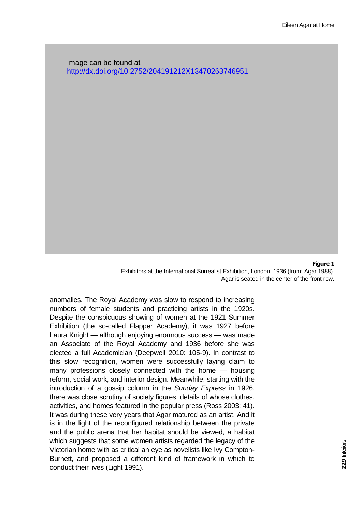#### **Figure 1**

Exhibitors at the International Surrealist Exhibition, London, 1936 (from: Agar 1988). Agar is seated in the center of the front row.

anomalies. The Royal Academy was slow to respond to increasing numbers of female students and practicing artists in the 1920s. Despite the conspicuous showing of women at the 1921 Summer Exhibition (the so-called Flapper Academy), it was 1927 before Laura Knight — although enjoying enormous success — was made an Associate of the Royal Academy and 1936 before she was elected a full Academician (Deepwell 2010: 105-9). In contrast to this slow recognition, women were successfully laying claim to many professions closely connected with the home — housing reform, social work, and interior design. Meanwhile, starting with the introduction of a gossip column in the *Sunday Express* in 1926, there was close scrutiny of society figures, details of whose clothes, activities, and homes featured in the popular press (Ross 2003: 41). It was during these very years that Agar matured as an artist. And it is in the light of the reconfigured relationship between the private and the public arena that her habitat should be viewed, a habitat which suggests that some women artists regarded the legacy of the Victorian home with as critical an eye as novelists like Ivy Compton-Burnett, and proposed a different kind of framework in which to conduct their lives (Light 1991).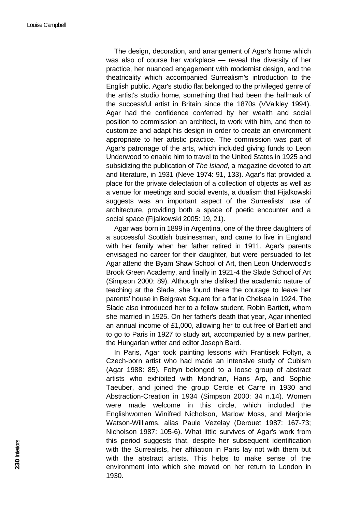The design, decoration, and arrangement of Agar's home which was also of course her workplace — reveal the diversity of her practice, her nuanced engagement with modernist design, and the theatricality which accompanied Surrealism's introduction to the English public. Agar's studio flat belonged to the privileged genre of the artist's studio home, something that had been the hallmark of the successful artist in Britain since the 1870s (VValkley 1994). Agar had the confidence conferred by her wealth and social position to commission an architect, to work with him, and then to customize and adapt his design in order to create an environment appropriate to her artistic practice. The commission was part of Agar's patronage of the arts, which included giving funds to Leon Underwood to enable him to travel to the United States in 1925 and subsidizing the publication of *The Island,* a magazine devoted to art and literature, in 1931 (Neve 1974: 91, 133). Agar's flat provided a place for the private delectation of a collection of objects as well as a venue for meetings and social events, a dualism that Fijalkowski suggests was an important aspect of the Surrealists' use of architecture, providing both a space of poetic encounter and a social space (Fijalkowski 2005: 19, 21).

Agar was born in 1899 in Argentina, one of the three daughters of a successful Scottish businessman, and came to live in England with her family when her father retired in 1911. Agar's parents envisaged no career for their daughter, but were persuaded to let Agar attend the Byam Shaw School of Art, then Leon Underwood's Brook Green Academy, and finally in 1921-4 the Slade School of Art (Simpson 2000: 89). Although she disliked the academic nature of teaching at the Slade, she found there the courage to leave her parents' house in Belgrave Square for a flat in Chelsea in 1924. The Slade also introduced her to a fellow student, Robin Bartlett, whom she married in 1925. On her father's death that year, Agar inherited an annual income of £1,000, allowing her to cut free of Bartlett and to go to Paris in 1927 to study art, accompanied by a new partner, the Hungarian writer and editor Joseph Bard.

In Paris, Agar took painting lessons with Frantisek Foltyn, a Czech-born artist who had made an intensive study of Cubism (Agar 1988: 85). Foltyn belonged to a loose group of abstract artists who exhibited with Mondrian, Hans Arp, and Sophie Taeuber, and joined the group Cercle et Carre in 1930 and Abstraction-Creation in 1934 (Simpson 2000: 34 n.14). Women were made welcome in this circle, which included the Englishwomen Winifred Nicholson, Marlow Moss, and Marjorie Watson-Williams, alias Paule Vezelay (Derouet 1987: 167-73; Nicholson 1987: 105-6). What little survives of Agar's work from this period suggests that, despite her subsequent identification with the Surrealists, her affiliation in Paris lay not with them but with the abstract artists. This helps to make sense of the environment into which she moved on her return to London in 1930.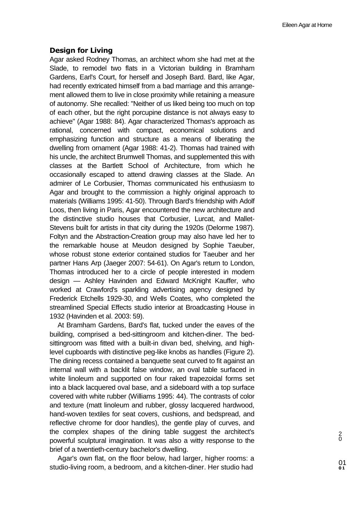## **Design for Living**

Agar asked Rodney Thomas, an architect whom she had met at the Slade, to remodel two flats in a Victorian building in Bramham Gardens, Earl's Court, for herself and Joseph Bard. Bard, like Agar, had recently extricated himself from a bad marriage and this arrangement allowed them to live in close proximity while retaining a measure of autonomy. She recalled: "Neither of us liked being too much on top of each other, but the right porcupine distance is not always easy to achieve" (Agar 1988: 84). Agar characterized Thomas's approach as rational, concerned with compact, economical solutions and emphasizing function and structure as a means of liberating the dwelling from ornament (Agar 1988: 41-2). Thomas had trained with his uncle, the architect Brumwell Thomas, and supplemented this with classes at the Bartlett School of Architecture, from which he occasionally escaped to attend drawing classes at the Slade. An admirer of Le Corbusier, Thomas communicated his enthusiasm to Agar and brought to the commission a highly original approach to materials (Williams 1995: 41-50). Through Bard's friendship with Adolf Loos, then living in Paris, Agar encountered the new architecture and the distinctive studio houses that Corbusier, Lurcat, and Mallet-Stevens built for artists in that city during the 1920s (Delorme 1987). Foltyn and the Abstraction-Creation group may also have led her to the remarkable house at Meudon designed by Sophie Taeuber, whose robust stone exterior contained studios for Taeuber and her partner Hans Arp (Jaeger 2007: 54-61). On Agar's return to London, Thomas introduced her to a circle of people interested in modern design — Ashley Havinden and Edward McKnight Kauffer, who worked at Crawford's sparkling advertising agency designed by Frederick Etchells 1929-30, and Wells Coates, who completed the streamlined Special Effects studio interior at Broadcasting House in 1932 (Havinden et al. 2003: 59).

At Bramham Gardens, Bard's flat, tucked under the eaves of the building, comprised a bed-sittingroom and kitchen-diner. The bedsittingroom was fitted with a built-in divan bed, shelving, and highlevel cupboards with distinctive peg-like knobs as handles (Figure 2). The dining recess contained a banquette seat curved to fit against an internal wall with a backlit false window, an oval table surfaced in white linoleum and supported on four raked trapezoidal forms set into a black lacquered oval base, and a sideboard with a top surface covered with white rubber (Williams 1995: 44). The contrasts of color and texture (matt linoleum and rubber, glossy lacquered hardwood, hand-woven textiles for seat covers, cushions, and bedspread, and reflective chrome for door handles), the gentle play of curves, and the complex shapes of the dining table suggest the architect's powerful sculptural imagination. It was also a witty response to the brief of a twentieth-century bachelor's dwelling.

Agar's own flat, on the floor below, had larger, higher rooms: a studio-living room, a bedroom, and a kitchen-diner. Her studio had

 $\frac{2}{0}$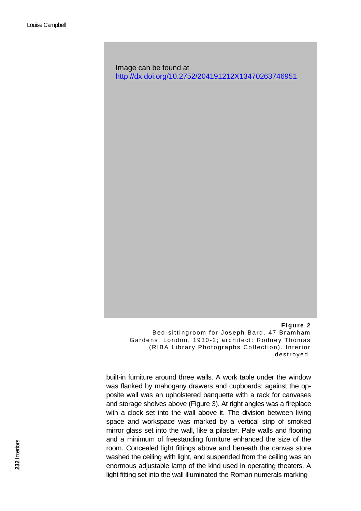**Fi gu re 2**  Bed-sittingroom for Joseph Bard, 47 Bramham Gardens, London, 1930-2; architect: Rodney Thomas (RIBA Library Photographs Collection). Interior destroyed.

built-in furniture around three walls. A work table under the window was flanked by mahogany drawers and cupboards; against the opposite wall was an upholstered banquette with a rack for canvases and storage shelves above (Figure 3). At right angles was a fireplace with a clock set into the wall above it. The division between living space and workspace was marked by a vertical strip of smoked mirror glass set into the wall, like a pilaster. Pale walls and flooring and a minimum of freestanding furniture enhanced the size of the room. Concealed light fittings above and beneath the canvas store washed the ceiling with light, and suspended from the ceiling was an enormous adjustable lamp of the kind used in operating theaters. A light fitting set into the wall illuminated the Roman numerals marking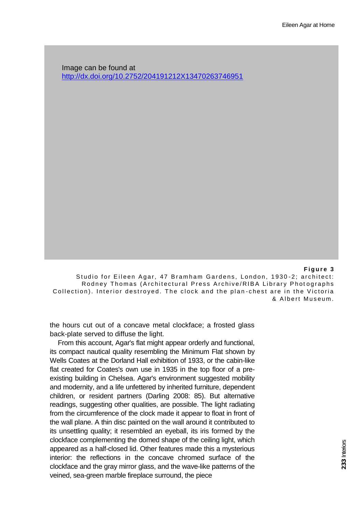#### **F i g u r e 3**

Studio for Eileen Agar, 47 Bramham Gardens, London, 1930-2; architect: Rodney Thomas (Architectural Press Archive/RIBA Library Photographs Collection). Interior destroyed. The clock and the plan-chest are in the Victoria & Albert Museum.

the hours cut out of a concave metal clockface; a frosted glass back-plate served to diffuse the light.

From this account, Agar's flat might appear orderly and functional, its compact nautical quality resembling the Minimum Flat shown by Wells Coates at the Dorland Hall exhibition of 1933, or the cabin-like flat created for Coates's own use in 1935 in the top floor of a preexisting building in Chelsea. Agar's environment suggested mobility and modernity, and a life unfettered by inherited furniture, dependent children, or resident partners (Darling 2008: 85). But alternative readings, suggesting other qualities, are possible. The light radiating from the circumference of the clock made it appear to float in front of the wall plane. A thin disc painted on the wall around it contributed to its unsettling quality; it resembled an eyeball, its iris formed by the clockface complementing the domed shape of the ceiling light, which appeared as a half-closed lid. Other features made this a mysterious interior: the reflections in the concave chromed surface of the clockface and the gray mirror glass, and the wave-like patterns of the veined, sea-green marble fireplace surround, the piece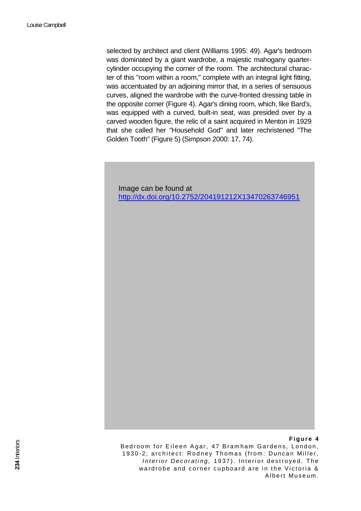selected by architect and client (Williams 1995: 49). Agar's bedroom was dominated by a giant wardrobe, a majestic mahogany quartercylinder occupying the corner of the room. The architectural character of this "room within a room," complete with an integral light fitting, was accentuated by an adjoining mirror that, in a series of sensuous curves, aligned the wardrobe with the curve-fronted dressing table in the opposite corner (Figure 4). Agar's dining room, which, like Bard's, was equipped with a curved, built-in seat, was presided over by a carved wooden figure, the relic of a saint acquired in Menton in 1929 that she called her "Household God" and later rechristened "The Golden Tooth" (Figure 5) (Simpson 2000: 17, 74).

Image can be found at <http://dx.doi.org/10.2752/204191212X13470263746951>

#### **Figure 4**

Bedroom for Eileen Agar, 47 Bramham Gardens, London, 1930-2; architect: Rodney Thomas (from: Duncan Miller, *Interior Decorating, 1937*). Interior destroyed. The wardrobe and corner cupboard are in the Victoria & Albert Museum.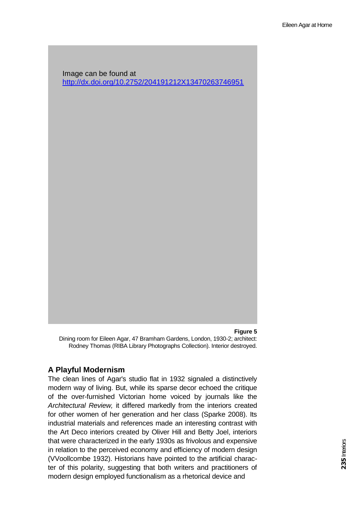#### **Figure 5**

Dining room for Eileen Agar, 47 Bramham Gardens, London, 1930-2; architect: Rodney Thomas (RIBA Library Photographs Collection). Interior destroyed.

# **A Playful Modernism**

The clean lines of Agar's studio flat in 1932 signaled a distinctively modern way of living. But, while its sparse decor echoed the critique of the over-furnished Victorian home voiced by journals like the *Architectural Review,* it differed markedly from the interiors created for other women of her generation and her class (Sparke 2008). Its industrial materials and references made an interesting contrast with the Art Deco interiors created by Oliver Hill and Betty Joel, interiors that were characterized in the early 1930s as frivolous and expensive in relation to the perceived economy and efficiency of modern design (VVoollcombe 1932). Historians have pointed to the artificial character of this polarity, suggesting that both writers and practitioners of modern design employed functionalism as a rhetorical device and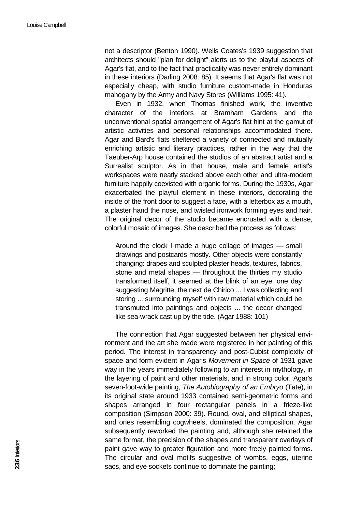not a descriptor (Benton 1990). Wells Coates's 1939 suggestion that architects should "plan for delight" alerts us to the playful aspects of Agar's flat, and to the fact that practicality was never entirely dominant in these interiors (Darling 2008: 85). It seems that Agar's flat was not especially cheap, with studio furniture custom-made in Honduras mahogany by the Army and Navy Stores (Williams 1995: 41).

Even in 1932, when Thomas finished work, the inventive character of the interiors at Bramham Gardens and the unconventional spatial arrangement of Agar's flat hint at the gamut of artistic activities and personal relationships accommodated there. Agar and Bard's flats sheltered a variety of connected and mutually enriching artistic and literary practices, rather in the way that the Taeuber-Arp house contained the studios of an abstract artist and a Surrealist sculptor. As in that house, male and female artist's workspaces were neatly stacked above each other and ultra-modern furniture happily coexisted with organic forms. During the 1930s, Agar exacerbated the playful element in these interiors, decorating the inside of the front door to suggest a face, with a letterbox as a mouth, a plaster hand the nose, and twisted ironwork forming eyes and hair. The original decor of the studio became encrusted with a dense, colorful mosaic of images. She described the process as follows:

Around the clock I made a huge collage of images — small drawings and postcards mostly. Other objects were constantly changing: drapes and sculpted plaster heads, textures, fabrics, stone and metal shapes — throughout the thirties my studio transformed itself, it seemed at the blink of an eye, one day suggesting Magritte, the next de Chirico ... I was collecting and storing ... surrounding myself with raw material which could be transmuted into paintings and objects ... the decor changed like sea-wrack cast up by the tide. (Agar 1988: 101)

The connection that Agar suggested between her physical environment and the art she made were registered in her painting of this period. The interest in transparency and post-Cubist complexity of space and form evident in Agar's *Movement in Space* of 1931 gave way in the years immediately following to an interest in mythology, in the layering of paint and other materials, and in strong color. Agar's seven-foot-wide painting, *The Autobiography of an Embryo* (Tate), in its original state around 1933 contained semi-geometric forms and shapes arranged in four rectangular panels in a frieze-like composition (Simpson 2000: 39). Round, oval, and elliptical shapes, and ones resembling cogwheels, dominated the composition. Agar subsequently reworked the painting and, although she retained the same format, the precision of the shapes and transparent overlays of paint gave way to greater figuration and more freely painted forms. The circular and oval motifs suggestive of wombs, eggs, uterine sacs, and eye sockets continue to dominate the painting;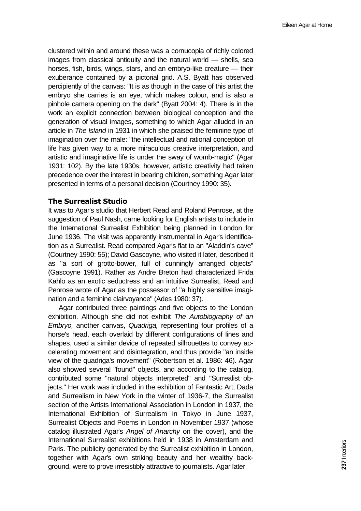clustered within and around these was a cornucopia of richly colored images from classical antiquity and the natural world — shells, sea horses, fish, birds, wings, stars, and an embryo-like creature — their exuberance contained by a pictorial grid. A.S. Byatt has observed percipiently of the canvas: "It is as though in the case of this artist the embryo she carries is an eye, which makes colour, and is also a pinhole camera opening on the dark" (Byatt 2004: 4). There is in the work an explicit connection between biological conception and the generation of visual images, something to which Agar alluded in an article in *The Island* in 1931 in which she praised the feminine type of imagination over the male: "the intellectual and rational conception of life has given way to a more miraculous creative interpretation, and artistic and imaginative life is under the sway of womb-magic" (Agar 1931: 102). By the late 1930s, however, artistic creativity had taken precedence over the interest in bearing children, something Agar later presented in terms of a personal decision (Courtney 1990: 35).

## **The Surrealist Studio**

It was to Agar's studio that Herbert Read and Roland Penrose, at the suggestion of Paul Nash, came looking for English artists to include in the International Surrealist Exhibition being planned in London for June 1936. The visit was apparently instrumental in Agar's identification as a Surrealist. Read compared Agar's flat to an "Aladdin's cave" (Courtney 1990: 55); David Gascoyne, who visited it later, described it as "a sort of grotto-bower, full of cunningly arranged objects" (Gascoyne 1991). Rather as Andre Breton had characterized Frida Kahlo as an exotic seductress and an intuitive Surrealist, Read and Penrose wrote of Agar as the possessor of "a highly sensitive imagination and a feminine clairvoyance" (Ades 1980: 37).

Agar contributed three paintings and five objects to the London exhibition. Although she did not exhibit *The Autobiography of an Embryo,* another canvas, *Quadriga,* representing four profiles of a horse's head, each overlaid by different configurations of lines and shapes, used a similar device of repeated silhouettes to convey accelerating movement and disintegration, and thus provide "an inside view of the quadriga's movement" (Robertson et al. 1986: 46). Agar also showed several "found" objects, and according to the catalog, contributed some "natural objects interpreted" and "Surrealist objects." Her work was included in the exhibition of Fantastic Art, Dada and Surrealism in New York in the winter of 1936-7, the Surrealist section of the Artists International Association in London in 1937, the International Exhibition of Surrealism in Tokyo in June 1937, Surrealist Objects and Poems in London in November 1937 (whose catalog illustrated Agar's *Angel of Anarchy* on the cover), and the International Surrealist exhibitions held in 1938 in Amsterdam and Paris. The publicity generated by the Surrealist exhibition in London, together with Agar's own striking beauty and her wealthy background, were to prove irresistibly attractive to journalists. Agar later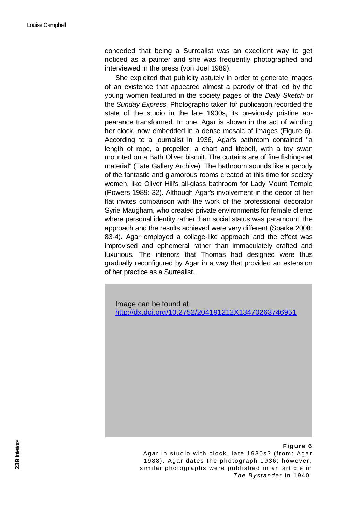conceded that being a Surrealist was an excellent way to get noticed as a painter and she was frequently photographed and interviewed in the press (von Joel 1989).

She exploited that publicity astutely in order to generate images of an existence that appeared almost a parody of that led by the young women featured in the society pages of the *Daily Sketch* or the *Sunday Express.* Photographs taken for publication recorded the state of the studio in the late 1930s, its previously pristine appearance transformed. In one, Agar is shown in the act of winding her clock, now embedded in a dense mosaic of images (Figure 6). According to a journalist in 1936, Agar's bathroom contained "a length of rope, a propeller, a chart and lifebelt, with a toy swan mounted on a Bath Oliver biscuit. The curtains are of fine fishing-net material" (Tate Gallery Archive). The bathroom sounds like a parody of the fantastic and glamorous rooms created at this time for society women, like Oliver Hill's all-glass bathroom for Lady Mount Temple (Powers 1989: 32). Although Agar's involvement in the decor of her flat invites comparison with the work of the professional decorator Syrie Maugham, who created private environments for female clients where personal identity rather than social status was paramount, the approach and the results achieved were very different (Sparke 2008: 83-4). Agar employed a collage-like approach and the effect was improvised and ephemeral rather than immaculately crafted and luxurious. The interiors that Thomas had designed were thus gradually reconfigured by Agar in a way that provided an extension of her practice as a Surrealist.

Image can be found at <http://dx.doi.org/10.2752/204191212X13470263746951>

#### **Fi gure 6**  Agar in studio with clock, late 1930s? (from: Agar 1988). Agar dates the photograph 1936; however, similar photographs were published in an article in The Bystander in 1940.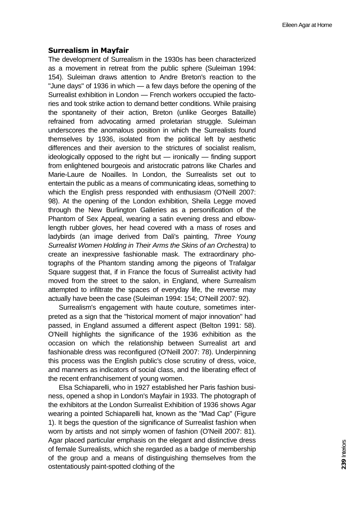## **Surrealism in Mayfair**

The development of Surrealism in the 1930s has been characterized as a movement in retreat from the public sphere (Suleiman 1994: 154). Suleiman draws attention to Andre Breton's reaction to the "June days" of 1936 in which — a few days before the opening of the Surrealist exhibition in London — French workers occupied the factories and took strike action to demand better conditions. While praising the spontaneity of their action, Breton (unlike Georges Bataille) refrained from advocating armed proletarian struggle. Suleiman underscores the anomalous position in which the Surrealists found themselves by 1936, isolated from the political left by aesthetic differences and their aversion to the strictures of socialist realism, ideologically opposed to the right but — ironically — finding support from enlightened bourgeois and aristocratic patrons like Charles and Marie-Laure de Noailles. In London, the Surrealists set out to entertain the public as a means of communicating ideas, something to which the English press responded with enthusiasm (O'Neill 2007: 98). At the opening of the London exhibition, Sheila Legge moved through the New Burlington Galleries as a personification of the Phantom of Sex Appeal, wearing a satin evening dress and elbowlength rubber gloves, her head covered with a mass of roses and ladybirds (an image derived from Dali's painting, *Three Young Surrealist Women Holding in Their Arms the Skins of an Orchestra)* to create an inexpressive fashionable mask. The extraordinary photographs of the Phantom standing among the pigeons of Trafalgar Square suggest that, if in France the focus of Surrealist activity had moved from the street to the salon, in England, where Surrealism attempted to infiltrate the spaces of everyday life, the reverse may actually have been the case (Suleiman 1994: 154; O'Neill 2007: 92).

Surrealism's engagement with haute couture, sometimes interpreted as a sign that the "historical moment of major innovation" had passed, in England assumed a different aspect (Belton 1991: 58). O'Neill highlights the significance of the 1936 exhibition as the occasion on which the relationship between Surrealist art and fashionable dress was reconfigured (O'Neill 2007: 78). Underpinning this process was the English public's close scrutiny of dress, voice, and manners as indicators of social class, and the liberating effect of the recent enfranchisement of young women.

Elsa Schiaparelli, who in 1927 established her Paris fashion business, opened a shop in London's Mayfair in 1933. The photograph of the exhibitors at the London Surrealist Exhibition of 1936 shows Agar wearing a pointed Schiaparelli hat, known as the "Mad Cap" (Figure 1). It begs the question of the significance of Surrealist fashion when worn by artists and not simply women of fashion (O'Neill 2007: 81). Agar placed particular emphasis on the elegant and distinctive dress of female Surrealists, which she regarded as a badge of membership of the group and a means of distinguishing themselves from the ostentatiously paint-spotted clothing of the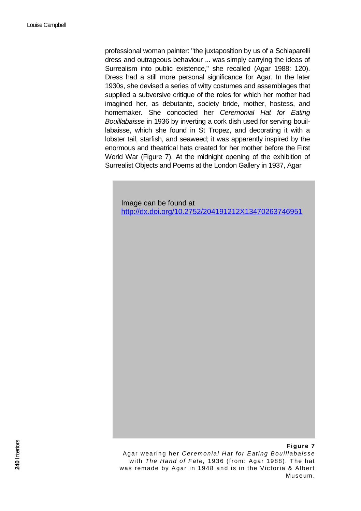professional woman painter: "the juxtaposition by us of a Schiaparelli dress and outrageous behaviour ... was simply carrying the ideas of Surrealism into public existence," she recalled (Agar 1988: 120). Dress had a still more personal significance for Agar. In the later 1930s, she devised a series of witty costumes and assemblages that supplied a subversive critique of the roles for which her mother had imagined her, as debutante, society bride, mother, hostess, and homemaker. She concocted her *Ceremonial Hat for Eating Bouillabaisse* in 1936 by inverting a cork dish used for serving bouillabaisse, which she found in St Tropez, and decorating it with a lobster tail, starfish, and seaweed; it was apparently inspired by the enormous and theatrical hats created for her mother before the First World War (Figure 7). At the midnight opening of the exhibition of Surrealist Objects and Poems at the London Gallery in 1937, Agar

Image can be found at <http://dx.doi.org/10.2752/204191212X13470263746951>

**Figure 7**  Agar wearing her *Ceremonial Hat for Eating Bouillabaisse*  with *The Hand of Fate,* 1936 (from: Agar 1988). The hat was remade by Agar in 1948 and is in the Victoria & Albert Museum.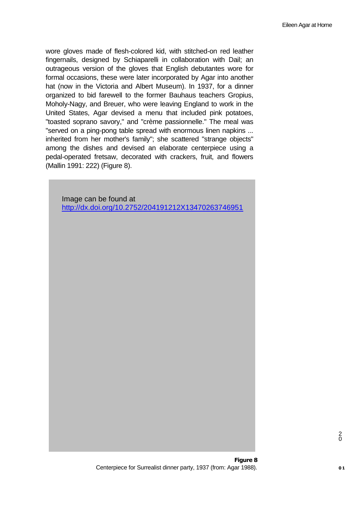wore gloves made of flesh-colored kid, with stitched-on red leather fingernails, designed by Schiaparelli in collaboration with Dail; an outrageous version of the gloves that English debutantes wore for formal occasions, these were later incorporated by Agar into another hat (now in the Victoria and Albert Museum). In 1937, for a dinner organized to bid farewell to the former Bauhaus teachers Gropius, Moholy-Nagy, and Breuer, who were leaving England to work in the United States, Agar devised a menu that included pink potatoes, "toasted soprano savory," and "crème passionnelle." The meal was "served on a ping-pong table spread with enormous linen napkins ... inherited from her mother's family"; she scattered "strange objects" among the dishes and devised an elaborate centerpiece using a pedal-operated fretsaw, decorated with crackers, fruit, and flowers (Mallin 1991: 222) (Figure 8).

Image can be found at <http://dx.doi.org/10.2752/204191212X13470263746951>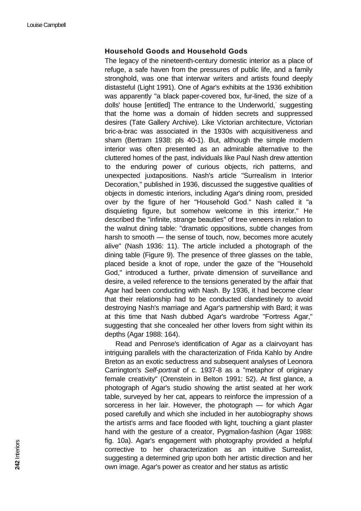## **Household Goods and Household Gods**

The legacy of the nineteenth-century domestic interior as a place of refuge, a safe haven from the pressures of public life, and a family stronghold, was one that interwar writers and artists found deeply distasteful (Light 1991). One of Agar's exhibits at the 1936 exhibition was apparently "a black paper-covered box, fur-lined, the size of a dolls' house [entitled] The entrance to the Underworld, suggesting that the home was a domain of hidden secrets and suppressed desires (Tate Gallery Archive). Like Victorian architecture, Victorian bric-a-brac was associated in the 1930s with acquisitiveness and sham (Bertram 1938: pls 40-1). But, although the simple modern interior was often presented as an admirable alternative to the cluttered homes of the past, individuals like Paul Nash drew attention to the enduring power of curious objects, rich patterns, and unexpected juxtapositions. Nash's article "Surrealism in Interior Decoration," published in 1936, discussed the suggestive qualities of objects in domestic interiors, including Agar's dining room, presided over by the figure of her "Household God." Nash called it "a disquieting figure, but somehow welcome in this interior." He described the "infinite, strange beauties" of tree veneers in relation to the walnut dining table: "dramatic oppositions, subtle changes from harsh to smooth — the sense of touch, now, becomes more acutely alive" (Nash 1936: 11). The article included a photograph of the dining table (Figure 9). The presence of three glasses on the table, placed beside a knot of rope, under the gaze of the "Household God," introduced a further, private dimension of surveillance and desire, a veiled reference to the tensions generated by the affair that Agar had been conducting with Nash. By 1936, it had become clear that their relationship had to be conducted clandestinely to avoid destroying Nash's marriage and Agar's partnership with Bard; it was at this time that Nash dubbed Agar's wardrobe "Fortress Agar," suggesting that she concealed her other lovers from sight within its depths (Agar 1988: 164).

Read and Penrose's identification of Agar as a clairvoyant has intriguing parallels with the characterization of Frida Kahlo by Andre Breton as an exotic seductress and subsequent analyses of Leonora Carrington's *Self-portrait* of c. 1937-8 as a "metaphor of originary female creativity" (Orenstein in Belton 1991: 52). At first glance, a photograph of Agar's studio showing the artist seated at her work table, surveyed by her cat, appears to reinforce the impression of a sorceress in her lair. However, the photograph — for which Agar posed carefully and which she included in her autobiography shows the artist's arms and face flooded with light, touching a giant plaster hand with the gesture of a creator, Pygmalion-fashion (Agar 1988: fig. 10a). Agar's engagement with photography provided a helpful corrective to her characterization as an intuitive Surrealist, suggesting a determined grip upon both her artistic direction and her own image. Agar's power as creator and her status as artistic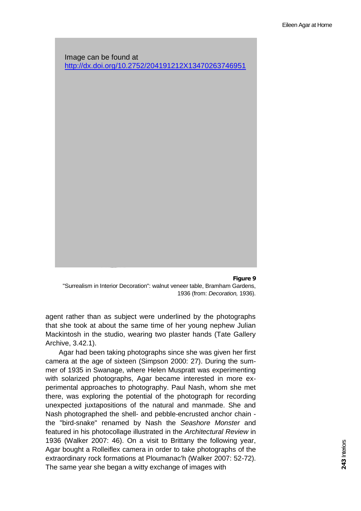#### **Figure 9**

"Surrealism in Interior Decoration": walnut veneer table, Bramham Gardens, 1936 (from: *Decoration,* 1936).

agent rather than as subject were underlined by the photographs that she took at about the same time of her young nephew Julian Mackintosh in the studio, wearing two plaster hands (Tate Gallery Archive, 3.42.1).

Agar had been taking photographs since she was given her first camera at the age of sixteen (Simpson 2000: 27). During the summer of 1935 in Swanage, where Helen Muspratt was experimenting with solarized photographs, Agar became interested in more experimental approaches to photography. Paul Nash, whom she met there, was exploring the potential of the photograph for recording unexpected juxtapositions of the natural and manmade. She and Nash photographed the shell- and pebble-encrusted anchor chain the "bird-snake" renamed by Nash the *Seashore Monster* and featured in his photocollage illustrated in the *Architectural Review* in 1936 (Walker 2007: 46). On a visit to Brittany the following year, Agar bought a Rolleiflex camera in order to take photographs of the extraordinary rock formations at Ploumanac'h (Walker 2007: 52-72). The same year she began a witty exchange of images with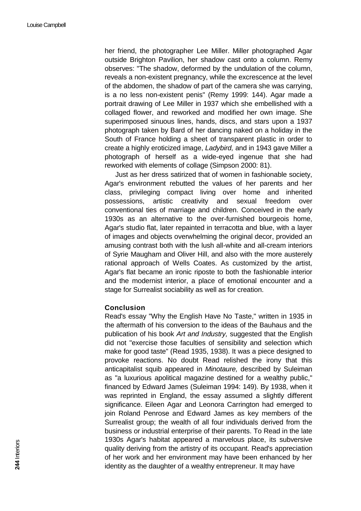her friend, the photographer Lee Miller. Miller photographed Agar outside Brighton Pavilion, her shadow cast onto a column. Remy observes: "The shadow, deformed by the undulation of the column, reveals a non-existent pregnancy, while the excrescence at the level of the abdomen, the shadow of part of the camera she was carrying, is a no less non-existent penis" (Remy 1999: 144). Agar made a portrait drawing of Lee Miller in 1937 which she embellished with a collaged flower, and reworked and modified her own image. She superimposed sinuous lines, hands, discs, and stars upon a 1937 photograph taken by Bard of her dancing naked on a holiday in the South of France holding a sheet of transparent plastic in order to create a highly eroticized image, *Ladybird,* and in 1943 gave Miller a photograph of herself as a wide-eyed ingenue that she had reworked with elements of collage (Simpson 2000: 81).

Just as her dress satirized that of women in fashionable society, Agar's environment rebutted the values of her parents and her class, privileging compact living over home and inherited possessions, artistic creativity and sexual freedom over conventional ties of marriage and children. Conceived in the early 1930s as an alternative to the over-furnished bourgeois home, Agar's studio flat, later repainted in terracotta and blue, with a layer of images and objects overwhelming the original decor, provided an amusing contrast both with the lush all-white and all-cream interiors of Syrie Maugham and Oliver Hill, and also with the more austerely rational approach of Wells Coates. As customized by the artist, Agar's flat became an ironic riposte to both the fashionable interior and the modernist interior, a place of emotional encounter and a stage for Surrealist sociability as well as for creation.

# **Conclusion**

Read's essay "Why the English Have No Taste," written in 1935 in the aftermath of his conversion to the ideas of the Bauhaus and the publication of his book *Art and Industry,* suggested that the English did not "exercise those faculties of sensibility and selection which make for good taste" (Read 1935, 1938). It was a piece designed to provoke reactions. No doubt Read relished the irony that this anticapitalist squib appeared in *Minotaure,* described by Suleiman as "a luxurious apolitical magazine destined for a wealthy public," financed by Edward James (Suleiman 1994: 149). By 1938, when it was reprinted in England, the essay assumed a slightly different significance. Eileen Agar and Leonora Carrington had emerged to join Roland Penrose and Edward James as key members of the Surrealist group; the wealth of all four individuals derived from the business or industrial enterprise of their parents. To Read in the late 1930s Agar's habitat appeared a marvelous place, its subversive quality deriving from the artistry of its occupant. Read's appreciation of her work and her environment may have been enhanced by her identity as the daughter of a wealthy entrepreneur. It may have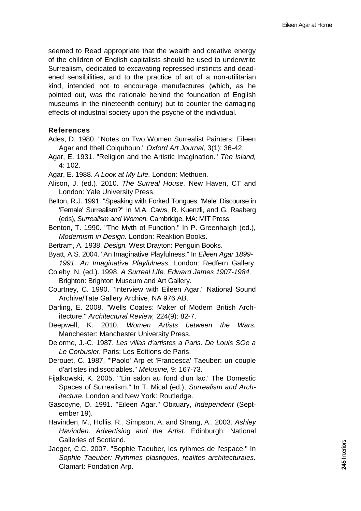seemed to Read appropriate that the wealth and creative energy of the children of English capitalists should be used to underwrite Surrealism, dedicated to excavating repressed instincts and deadened sensibilities, and to the practice of art of a non-utilitarian kind, intended not to encourage manufactures (which, as he pointed out, was the rationale behind the foundation of English museums in the nineteenth century) but to counter the damaging effects of industrial society upon the psyche of the individual.

# **References**

- Ades, D. 1980. "Notes on Two Women Surrealist Painters: Eileen Agar and Ithell Colquhoun." *Oxford Art Journal,* 3(1): 36-42.
- Agar, E. 1931. "Religion and the Artistic Imagination." *The Island,*  4: 102.
- Agar, E. 1988. *A Look at My Life.* London: Methuen.
- Alison, J. (ed.). 2010. *The Surreal House.* New Haven, CT and London: Yale University Press.
- Belton, R.J. 1991. "Speaking with Forked Tongues: 'Male' Discourse in 'Female' Surrealism?" In M.A. Caws, R. Kuenzli, and G. Raaberg (eds), *Surrealism and Women.* Cambridge, MA: MIT Press.
- Benton, T. 1990. "The Myth of Function." In P. Greenhalgh (ed.), *Modernism in Design.* London: Reaktion Books.
- Bertram, A. 1938. *Design.* West Drayton: Penguin Books.
- Byatt, A.S. 2004. "An Imaginative Playfulness." In *Eileen Agar 1899- 1991. An Imaginative Playfulness.* London: Redfern Gallery.
- Coleby, N. (ed.). 1998. *A Surreal Life. Edward James 1907-1984.* Brighton: Brighton Museum and Art Gallery.
- Courtney, C. 1990. "Interview with Eileen Agar." National Sound Archive/Tate Gallery Archive, NA 976 AB.
- Darling, E. 2008. "Wells Coates: Maker of Modern British Architecture." *Architectural Review,* 224(9): 82-7.
- Deepwell, K. 2010. *Women Artists between the Wars.*  Manchester: Manchester University Press.
- Delorme, J.-C. 1987. *Les villas d'artistes a Paris. De Louis SOe a Le Corbusier.* Paris: Les Editions de Paris.
- Derouet, C. 1987. "'Paolo' Arp et 'Francesca' Taeuber: un couple d'artistes indissociables." *Melusine,* 9: 167-73.
- Fijalkowski, K. 2005. "'Lin salon au fond d'un lac.' The Domestic Spaces of Surrealism." In T. Mical (ed.), *Surrealism and Architecture.* London and New York: Routledge.
- Gascoyne, D. 1991. "Eileen Agar." Obituary, *Independent* (September 19).
- Havinden, M., Hollis, R., Simpson, A. and Strang, A.. 2003. *Ashley Havinden. Advertising and the Artist.* Edinburgh: National Galleries of Scotland.
- Jaeger, C.C. 2007. "Sophie Taeuber, les rythmes de l'espace." In *Sophie Taeuber: Rythmes plastiques, realites architecturales.*  Clamart: Fondation Arp.